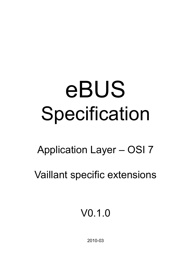# eBUS Specification

# Application Layer – OSI 7

Vaillant specific extensions

V0.1.0

2010-03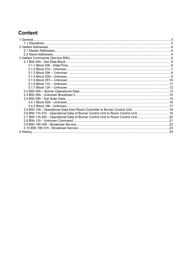# **Content**

| 3.6 B5h 11h 01h - Operational Data of Burner Control Unit to Room Control Unit19 |  |
|----------------------------------------------------------------------------------|--|
| 3.7 B5h 11h 02h - Operational Data of Burner Control Unit to Room Control Unit20 |  |
|                                                                                  |  |
|                                                                                  |  |
|                                                                                  |  |
|                                                                                  |  |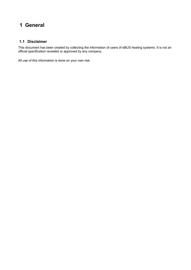# **1 General**

#### **1.1 Disclaimer**

This document has been created by collecting the information of users of eBUS heating systems. It is not an official specification revealed or approved by any company.

All use of this information is done on your own risk.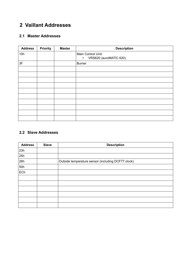# **2 Vaillant Addresses**

# **2.1 Master Addresses**

| <b>Address</b> | <b>Priority</b> | <b>Master</b> | <b>Description</b>                             |
|----------------|-----------------|---------------|------------------------------------------------|
| 10h            |                 |               | Main Control Unit:<br>• VRS620 (auroMATIC 620) |
| 3F             |                 |               | <b>Burner</b>                                  |
|                |                 |               |                                                |
|                |                 |               |                                                |
|                |                 |               |                                                |
|                |                 |               |                                                |
|                |                 |               |                                                |
|                |                 |               |                                                |
|                |                 |               |                                                |
|                |                 |               |                                                |
|                |                 |               |                                                |
|                |                 |               |                                                |

# **2.2 Slave Addresses**

| <b>Address</b> | <b>Slave</b> | <b>Description</b>                                 |
|----------------|--------------|----------------------------------------------------|
| 23h            |              |                                                    |
| 25h            |              |                                                    |
| 26h            |              | Outside temperature sensor (including DCF77 clock) |
| 50h            |              |                                                    |
| ECh            |              |                                                    |
|                |              |                                                    |
|                |              |                                                    |
|                |              |                                                    |
|                |              |                                                    |
|                |              |                                                    |
|                |              |                                                    |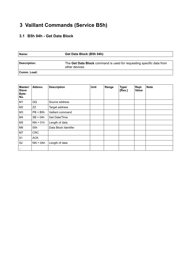# **3 Vaillant Commands (Service B5h)**

# **3.1 B5h 04h - Get Data Block**

| Name:        | Get Data Block (B5h 04h)                                                               |
|--------------|----------------------------------------------------------------------------------------|
| Description: | The Get Data Block command is used for requesting specific data from<br>other devices. |
| Comm. Load:  |                                                                                        |

| Master/<br><b>Slave</b><br>Byte-<br>No. | Abbrev.     | <b>Description</b>   | Unit | Range | Type/<br>[Res.] | Repl.<br><b>Value</b> | <b>Note</b> |
|-----------------------------------------|-------------|----------------------|------|-------|-----------------|-----------------------|-------------|
| M <sub>1</sub>                          | QQ          | Source address       |      |       |                 |                       |             |
| M <sub>2</sub>                          | ZZ          | Target address       |      |       |                 |                       |             |
| M3                                      | $PB = B5h$  | Vaillant command     |      |       |                 |                       |             |
| M4                                      | $SB = 04h$  | Get Date/Time        |      |       |                 |                       |             |
| M <sub>5</sub>                          | $NN = 01h$  | Length of data       |      |       |                 |                       |             |
| M6                                      | 00h         | Data Block Identifer |      |       |                 |                       |             |
| M7                                      | <b>CRC</b>  |                      |      |       |                 |                       |             |
| S <sub>1</sub>                          | <b>ACK</b>  |                      |      |       |                 |                       |             |
| S <sub>2</sub>                          | $NN = 0$ Ah | Length of data       |      |       |                 |                       |             |
| $\cdots$                                |             |                      |      |       |                 |                       |             |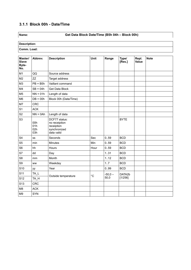# **3.1.1 Block 00h - Date/Time**

# **Name: Get Data Block Date/Time (B5h 04h – Block 00h)**

| Master/<br><b>Slave</b><br>Byte-<br>No. | Abbrev.                  | <b>Description</b>                                                         | Unit        | Range     | Type/<br>[Res.] | Repl.<br>Value | <b>Note</b> |
|-----------------------------------------|--------------------------|----------------------------------------------------------------------------|-------------|-----------|-----------------|----------------|-------------|
| M1                                      | QQ                       | Source address                                                             |             |           |                 |                |             |
| M <sub>2</sub>                          | <b>ZZ</b>                | Target address                                                             |             |           |                 |                |             |
| M <sub>3</sub>                          | $PB = B5h$               | Vaillant command                                                           |             |           |                 |                |             |
| M4                                      | $SB = 04h$               | Get Data Block                                                             |             |           |                 |                |             |
| M <sub>5</sub>                          | $NN = 01h$               | Length of data                                                             |             |           |                 |                |             |
| M <sub>6</sub>                          | $DB = 00h$               | Block 00h (Date/Time)                                                      |             |           |                 |                |             |
| M7                                      | <b>CRC</b>               |                                                                            |             |           |                 |                |             |
| S <sub>1</sub>                          | <b>ACK</b>               |                                                                            |             |           |                 |                |             |
| S <sub>2</sub>                          | $NN = 0$ Ah              | Length of data                                                             |             |           |                 |                |             |
| S <sub>3</sub>                          | 00h<br>01h<br>02h<br>03h | DCF77 status:<br>no receiption<br>receiption<br>synchronized<br>data valid |             |           | <b>BYTE</b>     |                |             |
| S <sub>4</sub>                          | SS                       | Seconds                                                                    | Sec         | 0.59      | <b>BCD</b>      |                |             |
| S <sub>5</sub>                          | min                      | <b>Minutes</b>                                                             | Min         | 0.59      | <b>BCD</b>      |                |             |
| S <sub>6</sub>                          | hh                       | Hours                                                                      | Hour        | 0.59      | <b>BCD</b>      |                |             |
| S7                                      | dd                       | Day                                                                        |             | 131       | <b>BCD</b>      |                |             |
| S <sub>8</sub>                          | mm                       | Month                                                                      |             | 1.12      | <b>BCD</b>      |                |             |
| S9                                      | <b>WW</b>                | Weekday                                                                    |             | 1.7       | <b>BCD</b>      |                |             |
| S <sub>10</sub>                         | уy                       | Year                                                                       |             | 0.99      | <b>BCD</b>      |                |             |
| S <sub>11</sub>                         | TA_L                     | Outside temperature                                                        | $^{\circ}C$ | $-50,0 -$ | DATA2b          |                |             |
| S <sub>12</sub>                         | TA_H                     |                                                                            |             | 50,0      | [1/256]         |                |             |
| S <sub>13</sub>                         | <b>CRC</b>               |                                                                            |             |           |                 |                |             |
| M <sub>8</sub>                          | <b>ACK</b>               |                                                                            |             |           |                 |                |             |
| M <sub>9</sub>                          | <b>SYN</b>               |                                                                            |             |           |                 |                |             |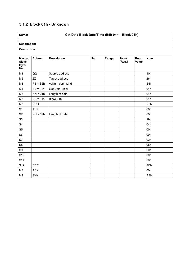# **3.1.2 Block 01h - Unknown**

# **Name: Get Data Block Date/Time (B5h 04h – Block 01h)**

| Master/<br><b>Slave</b><br>Byte-<br>No. | Abbrev.    | <b>Description</b> | Unit | Range | Type/<br>[Res.] | Repl.<br>Value | <b>Note</b>      |
|-----------------------------------------|------------|--------------------|------|-------|-----------------|----------------|------------------|
| M <sub>1</sub>                          | QQ         | Source address     |      |       |                 |                | 10h              |
| M <sub>2</sub>                          | <b>ZZ</b>  | Target address     |      |       |                 |                | 26h              |
| M <sub>3</sub>                          | $PB = B5h$ | Vaillant command   |      |       |                 |                | B <sub>5</sub> h |
| M4                                      | $SB = 04h$ | Get Data Block     |      |       |                 |                | 04h              |
| M <sub>5</sub>                          | $NN = 01h$ | Length of data     |      |       |                 |                | 01h              |
| M <sub>6</sub>                          | $DB = 01h$ | Block 01h          |      |       |                 |                | 01h              |
| M7                                      | <b>CRC</b> |                    |      |       |                 |                | D <sub>8</sub> h |
| S <sub>1</sub>                          | <b>ACK</b> |                    |      |       |                 |                | 00h              |
| S <sub>2</sub>                          | $NN = 09h$ | Length of data     |      |       |                 |                | 09h              |
| S <sub>3</sub>                          |            |                    |      |       |                 |                | 19h              |
| S4                                      |            |                    |      |       |                 |                | 04h              |
| S <sub>5</sub>                          |            |                    |      |       |                 |                | 00h              |
| S <sub>6</sub>                          |            |                    |      |       |                 |                | 00h              |
| S7                                      |            |                    |      |       |                 |                | 02h              |
| S8                                      |            |                    |      |       |                 |                | 05h              |
| S9                                      |            |                    |      |       |                 |                | 00h              |
| S <sub>10</sub>                         |            |                    |      |       |                 |                | 00h              |
| S11                                     |            |                    |      |       |                 |                | 00h              |
| S12                                     | <b>CRC</b> |                    |      |       |                 |                | 2Ch              |
| M8                                      | <b>ACK</b> |                    |      |       |                 |                | 00h              |
| M <sub>9</sub>                          | SYN        |                    |      |       |                 |                | AAh              |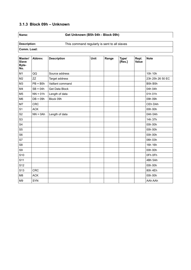# **3.1.3 Block 09h – Unknown**

# **Name: Get Unknown (B5h 04h - Block 09h)**

**Description:** This command regularly is sent to all slaves

| Master/<br><b>Slave</b><br>Byte-<br>No. | Abbrev.     | <b>Description</b> | Unit | Range | Type/<br>[Res.] | Repl.<br>Value | <b>Note</b>      |
|-----------------------------------------|-------------|--------------------|------|-------|-----------------|----------------|------------------|
| M1                                      | QQ          | Source address     |      |       |                 |                | 10h 10h          |
| M <sub>2</sub>                          | ZZ          | Target address     |      |       |                 |                | 23h 25h 26 50 EC |
| M <sub>3</sub>                          | $PB = B5h$  | Vaillant command   |      |       |                 |                | B5h B5h          |
| M4                                      | $SB = 04h$  | Get Data Block     |      |       |                 |                | 04h 04h          |
| M <sub>5</sub>                          | $NN = 01h$  | Length of data     |      |       |                 |                | 01h 01h          |
| M <sub>6</sub>                          | $DB = 09h$  | Block 09h          |      |       |                 |                | 09h 09h          |
| M7                                      | <b>CRC</b>  |                    |      |       |                 |                | CEh DAh          |
| S <sub>1</sub>                          | <b>ACK</b>  |                    |      |       |                 |                | 00h 00h          |
| S <sub>2</sub>                          | $NN = 0$ Ah | Length of data     |      |       |                 |                | 0Ah 0Ah          |
| S <sub>3</sub>                          |             |                    |      |       |                 |                | 14h 37h          |
| S4                                      |             |                    |      |       |                 |                | 00h 00h          |
| S <sub>5</sub>                          |             |                    |      |       |                 |                | 00h 00h          |
| S6                                      |             |                    |      |       |                 |                | 00h 00h          |
| S7                                      |             |                    |      |       |                 |                | 06h 03h          |
| S8                                      |             |                    |      |       |                 |                | 16h 16h          |
| S9                                      |             |                    |      |       |                 |                | 00h 00h          |
| S <sub>10</sub>                         |             |                    |      |       |                 |                | OFh OFh          |
| S <sub>11</sub>                         |             |                    |      |       |                 |                | 4Bh 5Ah          |
| S <sub>12</sub>                         |             |                    |      |       |                 |                | 00h 00h          |
| S <sub>13</sub>                         | <b>CRC</b>  |                    |      |       |                 |                | 80h 4Eh          |
| M <sub>8</sub>                          | <b>ACK</b>  |                    |      |       |                 |                | 00h 00h          |
| M <sub>9</sub>                          | <b>SYN</b>  |                    |      |       |                 |                | AAh AAh          |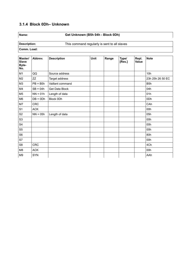# **3.1.4 Block 0Dh– Unknown**

# **Name: Get Unknown (B5h 04h - Block 0Dh)**

**Description:** This command regularly is sent to all slaves

| Master/<br><b>Slave</b><br>Byte-<br>No. | Abbrev.     | <b>Description</b> | Unit | Range | Type/<br>[Res.] | Repl.<br>Value | <b>Note</b>      |
|-----------------------------------------|-------------|--------------------|------|-------|-----------------|----------------|------------------|
| M <sub>1</sub>                          | QQ          | Source address     |      |       |                 |                | 10h              |
| M <sub>2</sub>                          | ZZ          | Target address     |      |       |                 |                | 23h 25h 26 50 EC |
| M <sub>3</sub>                          | $PB = B5h$  | Vaillant command   |      |       |                 |                | B <sub>5</sub> h |
| M4                                      | $SB = 04h$  | Get Data Block     |      |       |                 |                | 04h              |
| M <sub>5</sub>                          | $NN = 01h$  | Length of data     |      |       |                 |                | 01h              |
| M <sub>6</sub>                          | $DB = 0 Dh$ | Block 0Dh          |      |       |                 |                | 0Dh              |
| M7                                      | <b>CRC</b>  |                    |      |       |                 |                | CAh              |
| S <sub>1</sub>                          | <b>ACK</b>  |                    |      |       |                 |                | 00h              |
| S <sub>2</sub>                          | $NN = 05h$  | Length of data     |      |       |                 |                | 05h              |
| S <sub>3</sub>                          |             |                    |      |       |                 |                | 00h              |
| S4                                      |             |                    |      |       |                 |                | 00h              |
| S <sub>5</sub>                          |             |                    |      |       |                 |                | 00h              |
| S <sub>6</sub>                          |             |                    |      |       |                 |                | 80h              |
| S7                                      |             |                    |      |       |                 |                | 00h              |
| S8                                      | <b>CRC</b>  |                    |      |       |                 |                | 4Ch              |
| M8                                      | <b>ACK</b>  |                    |      |       |                 |                | 00h              |
| M <sub>9</sub>                          | SYN         |                    |      |       |                 |                | AAh              |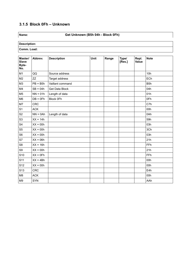# **3.1.5 Block 0Fh – Unknown**

# **Name: Get Unknown (B5h 04h - Block 0Fh)**

| Master/<br><b>Slave</b><br>Byte-<br>No. | Abbrev.     | <b>Description</b> | <b>Unit</b> | Range | Type/<br>[Res.] | Repl.<br>Value | <b>Note</b>      |
|-----------------------------------------|-------------|--------------------|-------------|-------|-----------------|----------------|------------------|
| M1                                      | QQ          | Source address     |             |       |                 |                | 10h              |
| M2                                      | ZZ          | Target address     |             |       |                 |                | ECh              |
| M <sub>3</sub>                          | $PB = B5h$  | Vaillant command   |             |       |                 |                | B <sub>5</sub> h |
| M4                                      | $SB = 04h$  | Get Data Block     |             |       |                 |                | 04h              |
| M <sub>5</sub>                          | $NN = 01h$  | Length of data     |             |       |                 |                | 01h              |
| M <sub>6</sub>                          | $DB = 0Fh$  | Block 0Fh          |             |       |                 |                | 0Fh              |
| M7                                      | <b>CRC</b>  |                    |             |       |                 |                | C7h              |
| S <sub>1</sub>                          | <b>ACK</b>  |                    |             |       |                 |                | 00h              |
| S <sub>2</sub>                          | $NN = 0$ Ah | Length of data     |             |       |                 |                | 0Ah              |
| S <sub>3</sub>                          | $XX = 14h$  |                    |             |       |                 |                | 59h              |
| S <sub>4</sub>                          | $XX = 00h$  |                    |             |       |                 |                | 03h              |
| S <sub>5</sub>                          | $XX = 00h$  |                    |             |       |                 |                | 3Ch              |
| S <sub>6</sub>                          | $XX = 00h$  |                    |             |       |                 |                | 03h              |
| S7                                      | $XX = 06h$  |                    |             |       |                 |                | 21h              |
| S <sub>8</sub>                          | $XX = 16h$  |                    |             |       |                 |                | FFh              |
| S9                                      | $XX = 00h$  |                    |             |       |                 |                | 21h              |
| S <sub>10</sub>                         | $XX = 0Fh$  |                    |             |       |                 |                | FFh              |
| S <sub>11</sub>                         | $XX = 4Bh$  |                    |             |       |                 |                | 00h              |
| S12                                     | $XX = 00h$  |                    |             |       |                 |                | 00h              |
| S <sub>13</sub>                         | <b>CRC</b>  |                    |             |       |                 |                | E4h              |
| M <sub>8</sub>                          | <b>ACK</b>  |                    |             |       |                 |                | 00h              |
| M <sub>9</sub>                          | <b>SYN</b>  |                    |             |       |                 |                | AAh              |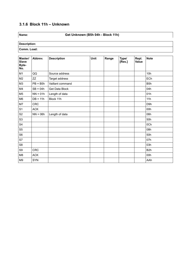# **3.1.6 Block 11h – Unknown**

# **Name: Get Unknown (B5h 04h - Block 11h)**

| Master/<br><b>Slave</b><br>Byte-<br>No. | Abbrev.    | <b>Description</b> | Unit | Range | Type/<br>[Res.] | Repl.<br>Value | <b>Note</b>      |
|-----------------------------------------|------------|--------------------|------|-------|-----------------|----------------|------------------|
| M <sub>1</sub>                          | QQ         | Source address     |      |       |                 |                | 10h              |
| M <sub>2</sub>                          | ZZ         | Target address     |      |       |                 |                | ECh              |
| M <sub>3</sub>                          | $PB = B5h$ | Vaillant command   |      |       |                 |                | B <sub>5</sub> h |
| M4                                      | $SB = 04h$ | Get Data Block     |      |       |                 |                | 04h              |
| M <sub>5</sub>                          | $NN = 01h$ | Length of data     |      |       |                 |                | 01h              |
| M <sub>6</sub>                          | $DB = 11h$ | Block 11h          |      |       |                 |                | 11h              |
| M7                                      | <b>CRC</b> |                    |      |       |                 |                | D <sub>9</sub> h |
| S <sub>1</sub>                          | <b>ACK</b> |                    |      |       |                 |                | 00h              |
| S <sub>2</sub>                          | $NN = 06h$ | Length of data     |      |       |                 |                | 06h              |
| S <sub>3</sub>                          |            |                    |      |       |                 |                | 50h              |
| ${\sf S4}$                              |            |                    |      |       |                 |                | 0Ch              |
| S <sub>5</sub>                          |            |                    |      |       |                 |                | 08h              |
| S <sub>6</sub>                          |            |                    |      |       |                 |                | 50h              |
| S7                                      |            |                    |      |       |                 |                | 07h              |
| S8                                      |            |                    |      |       |                 |                | 03h              |
| S9                                      | <b>CRC</b> |                    |      |       |                 |                | B <sub>2</sub> h |
| M8                                      | <b>ACK</b> |                    |      |       |                 |                | 00h              |
| M <sub>9</sub>                          | SYN        |                    |      |       |                 |                | AAh              |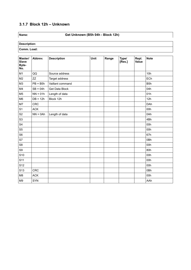# **3.1.7 Block 12h – Unknown**

# **Name: Get Unknown (B5h 04h - Block 12h)**

| Master/<br><b>Slave</b><br>Byte-<br>No. | Abbrev.    | <b>Description</b> | Unit | Range | Type/<br>[Res.] | Repl.<br>Value | <b>Note</b>      |
|-----------------------------------------|------------|--------------------|------|-------|-----------------|----------------|------------------|
| M1                                      | QQ         | Source address     |      |       |                 |                | 10h              |
| M <sub>2</sub>                          | ZZ         | Target address     |      |       |                 |                | ECh              |
| M <sub>3</sub>                          | $PB = B5h$ | Vaillant command   |      |       |                 |                | B <sub>5</sub> h |
| M4                                      | $SB = 04h$ | Get Data Block     |      |       |                 |                | 04h              |
| M <sub>5</sub>                          | $NN = 01h$ | Length of data     |      |       |                 |                | 01h              |
| M <sub>6</sub>                          | $DB = 12h$ | Block 12h          |      |       |                 |                | 12h              |
| M7                                      | CRC        |                    |      |       |                 |                | DAh              |
| S <sub>1</sub>                          | ACK        |                    |      |       |                 |                | 00h              |
| S <sub>2</sub>                          | $NN = 0Ah$ | Length of data     |      |       |                 |                | 0Ah              |
| S <sub>3</sub>                          |            |                    |      |       |                 |                | 4Bh              |
| S <sub>4</sub>                          |            |                    |      |       |                 |                | 00h              |
| S <sub>5</sub>                          |            |                    |      |       |                 |                | 00h              |
| S6                                      |            |                    |      |       |                 |                | 67h              |
| S7                                      |            |                    |      |       |                 |                | 0Bh              |
| S <sub>8</sub>                          |            |                    |      |       |                 |                | 00h              |
| S9                                      |            |                    |      |       |                 |                | 80h              |
| S <sub>10</sub>                         |            |                    |      |       |                 |                | 00h              |
| S11                                     |            |                    |      |       |                 |                | 00h              |
| S12                                     |            |                    |      |       |                 |                | 00h              |
| S <sub>13</sub>                         | CRC        |                    |      |       |                 |                | 0Bh              |
| M8                                      | <b>ACK</b> |                    |      |       |                 |                | 00h              |
| M <sub>9</sub>                          | <b>SYN</b> |                    |      |       |                 |                | AAh              |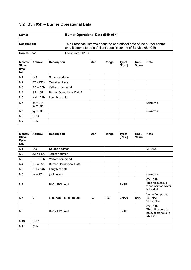# **3.2 B5h 05h – Burner Operational Data**

| Name:        | <b>Burner Operational Data (B5h 05h)</b>                                                                                                        |
|--------------|-------------------------------------------------------------------------------------------------------------------------------------------------|
| Description: | This Broadcast informs about the operational data of the burner control<br>unit. It seems to be a Vaillant specific variant of Service 08h 01h. |
| Comm. Load:  | Cycle rate: 1/10s                                                                                                                               |

| Master/<br><b>Slave</b><br>Byte-<br>No. | Abbrev.                  | <b>Description</b>              | <b>Unit</b> | Range | Type/<br>[Res.] | Repl.<br>Value | <b>Note</b> |
|-----------------------------------------|--------------------------|---------------------------------|-------------|-------|-----------------|----------------|-------------|
| M <sub>1</sub>                          | QQ                       | Source address                  |             |       |                 |                |             |
| M <sub>2</sub>                          | $ZZ = FEh$               | Target address                  |             |       |                 |                |             |
| M3                                      | $PB = B5h$               | Vaillant command                |             |       |                 |                |             |
| M4                                      | $SB = 05h$               | <b>Burner Operational Data?</b> |             |       |                 |                |             |
| M5                                      | $NN = 02h$               | Length of data                  |             |       |                 |                |             |
| M <sub>6</sub>                          | $xx = 04h$<br>$xx = 29h$ |                                 |             |       |                 |                | unknown     |
| M7                                      | $yy = 00h$               |                                 |             |       |                 |                | unknown     |
| M8                                      | <b>CRC</b>               |                                 |             |       |                 |                |             |
| M <sub>9</sub>                          | <b>SYN</b>               |                                 |             |       |                 |                |             |

| Master/<br><b>Slave</b><br>Byte-<br>No. | Abbrev.    | <b>Description</b>             | <b>Unit</b> | Range    | Type/<br>[Res.] | Repl.<br>Value | <b>Note</b>                                                        |
|-----------------------------------------|------------|--------------------------------|-------------|----------|-----------------|----------------|--------------------------------------------------------------------|
| M1                                      | QQ         | Source address                 |             |          |                 |                | <b>VRS620</b>                                                      |
| M <sub>2</sub>                          | $ZZ = FEh$ | Target address                 |             |          |                 |                |                                                                    |
| M <sub>3</sub>                          | $PB = B5h$ | Vaillant command               |             |          |                 |                |                                                                    |
| M4                                      | $SB = 05h$ | <b>Burner Operational Data</b> |             |          |                 |                |                                                                    |
| M <sub>5</sub>                          | $NN = 04h$ | Length of data                 |             |          |                 |                |                                                                    |
| M <sub>6</sub>                          | $xx = 27h$ | (unknown)                      |             |          |                 |                | unknown                                                            |
| M7                                      |            | Bit0 = BW_load                 |             |          | <b>BYTE</b>     |                | 00h, 01h<br>This bit is active<br>when service water<br>is loaded. |
| M <sub>8</sub>                          | VT         | Lead water temperature         | $^{\circ}C$ | $0 - 89$ | <b>CHAR</b>     | 5Ah            | Vorlauftemperatur<br><b>IST HK1</b><br>VF1-Fühler                  |
| M <sub>9</sub>                          |            | Bit0 = BW load                 |             |          | <b>BYTE</b>     |                | 00h, 01h<br>This bit seems to<br>be synchronous to<br>M7 Bit0.     |
| M10                                     | <b>CRC</b> |                                |             |          |                 |                |                                                                    |
| M11                                     | <b>SYN</b> |                                |             |          |                 |                |                                                                    |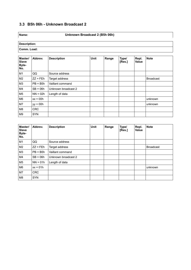# **3.3 B5h 06h - Unknown Broadcast 2**

# **Name: Unknown Broadcast 2 (B5h 06h)**

| Master/<br><b>Slave</b><br>Byte-<br>No. | Abbrev.    | <b>Description</b>  | <b>Unit</b> | Range | Type/<br>[Res.] | Repl.<br><b>Value</b> | <b>Note</b>      |
|-----------------------------------------|------------|---------------------|-------------|-------|-----------------|-----------------------|------------------|
| M1                                      | QQ         | Source address      |             |       |                 |                       |                  |
| M <sub>2</sub>                          | $ZZ = FEh$ | Target address      |             |       |                 |                       | <b>Broadcast</b> |
| M <sub>3</sub>                          | $PB = B5h$ | Vaillant command    |             |       |                 |                       |                  |
| M4                                      | $SB = 06h$ | Unknown broadcast 2 |             |       |                 |                       |                  |
| M <sub>5</sub>                          | $NN = 02h$ | Length of data      |             |       |                 |                       |                  |
| M6                                      | $xx = 00h$ |                     |             |       |                 |                       | unknown          |
| M7                                      | $yy = 00h$ |                     |             |       |                 |                       | unknown          |
| M8                                      | <b>CRC</b> |                     |             |       |                 |                       |                  |
| M9                                      | <b>SYN</b> |                     |             |       |                 |                       |                  |

| Master/<br><b>Slave</b><br><b>Byte-</b><br>No. | Abbrev.    | <b>Description</b>  | <b>Unit</b> | Range | Type/<br>[Res.] | Repl.<br><b>Value</b> | <b>Note</b>      |
|------------------------------------------------|------------|---------------------|-------------|-------|-----------------|-----------------------|------------------|
| M1                                             | QQ         | Source address      |             |       |                 |                       |                  |
| M <sub>2</sub>                                 | $ZZ = FEh$ | Target address      |             |       |                 |                       | <b>Broadcast</b> |
| M <sub>3</sub>                                 | $PB = B5h$ | Vaillant command    |             |       |                 |                       |                  |
| M4                                             | $SB = 06h$ | Unknown broadcast 2 |             |       |                 |                       |                  |
| M <sub>5</sub>                                 | $NN = 01h$ | Length of data      |             |       |                 |                       |                  |
| M6                                             | $xx = 01h$ |                     |             |       |                 |                       | unknown          |
| M7                                             | <b>CRC</b> |                     |             |       |                 |                       |                  |
| M8                                             | <b>SYN</b> |                     |             |       |                 |                       |                  |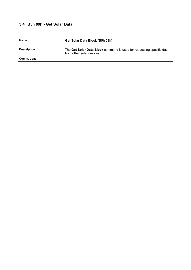# **3.4 B5h 09h - Get Solar Data**

| Name:        | Get Solar Data Block (B5h 09h)                                                                     |
|--------------|----------------------------------------------------------------------------------------------------|
|              |                                                                                                    |
| Description: | The Get Solar Data Block command is used for requesting specific data<br>from other solar devices. |
| ⊺Comm. Load: |                                                                                                    |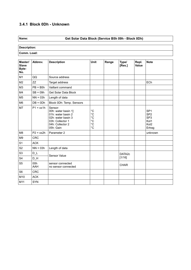# **3.4.1 Block 0Dh - Unknown**

# **Name: Get Solar Data Block (Service B5h 09h - Block 0Dh)**

**Description:**

| Master/<br><b>Slave</b><br>Byte-<br>No. | Abbrev.           | <b>Description</b>                                                                                                              | <b>Unit</b>                                                 | Range | Type/<br>[Res.]    | Repl.<br>Value | <b>Note</b>                                                                                 |
|-----------------------------------------|-------------------|---------------------------------------------------------------------------------------------------------------------------------|-------------------------------------------------------------|-------|--------------------|----------------|---------------------------------------------------------------------------------------------|
| M1                                      | QQ                | Source address                                                                                                                  |                                                             |       |                    |                |                                                                                             |
| M <sub>2</sub>                          | ZZ                | Target address                                                                                                                  |                                                             |       |                    |                | ECh                                                                                         |
| M <sub>3</sub>                          | $PB = B5h$        | Vaillant command                                                                                                                |                                                             |       |                    |                |                                                                                             |
| M4                                      | $SB = 09h$        | Get Solar Data Block                                                                                                            |                                                             |       |                    |                |                                                                                             |
| M <sub>5</sub>                          | $NN = 03h$        | Length of data                                                                                                                  |                                                             |       |                    |                |                                                                                             |
| M <sub>6</sub>                          | $DB = 0 Dh$       | Block 0Dh: Temp. Sensors                                                                                                        |                                                             |       |                    |                |                                                                                             |
| M7                                      | $P1 = xx1h$       | Sensor:<br>00h: water basin 1]<br>01h: water basin 2<br>02h: water basin 3<br>03h: Collector 1<br>04h: Collector 2<br>05h: Gain | $^{\circ}C$<br>$^{\circ}C$<br>°C<br>°C<br>°C<br>$^{\circ}C$ |       |                    |                | SP <sub>1</sub><br>SP <sub>2</sub><br>SP <sub>3</sub><br>Kol1<br>Kol <sub>2</sub><br>Ertrag |
| M <sub>8</sub>                          | $P2 = xx2h$       | Parameter 2                                                                                                                     |                                                             |       |                    |                | unknown                                                                                     |
| M <sub>9</sub>                          | <b>CRC</b>        |                                                                                                                                 |                                                             |       |                    |                |                                                                                             |
| S <sub>1</sub>                          | <b>ACK</b>        |                                                                                                                                 |                                                             |       |                    |                |                                                                                             |
| S <sub>2</sub>                          | $NN = 03h$        | Length of data                                                                                                                  |                                                             |       |                    |                |                                                                                             |
| S <sub>3</sub>                          | $D_L$             | <b>Sensor Value</b>                                                                                                             |                                                             |       | DATA <sub>2c</sub> |                |                                                                                             |
| S4                                      | $D_H$             |                                                                                                                                 |                                                             |       | [1/16]             |                |                                                                                             |
| S <sub>5</sub>                          | 00h<br><b>AAH</b> | sensor connected<br>no sensor connected                                                                                         |                                                             |       | <b>CHAR</b>        |                |                                                                                             |
| S <sub>6</sub>                          | <b>CRC</b>        |                                                                                                                                 |                                                             |       |                    |                |                                                                                             |
| M10                                     | <b>ACK</b>        |                                                                                                                                 |                                                             |       |                    |                |                                                                                             |
| M11                                     | <b>SYN</b>        |                                                                                                                                 |                                                             |       |                    |                |                                                                                             |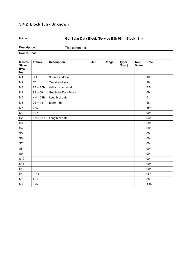# **3.4.2 Block 18h - Unknown**

# **Name: Get Solar Data Block (Service B5h 09h - Block 18h)**

**Description:** This command

| Master/<br><b>Slave</b><br>Byte-<br>No. | Abbrev.     | <b>Description</b>   | Unit | Range | Type/<br>[Res.] | Repl.<br>Value | <b>Note</b>      |
|-----------------------------------------|-------------|----------------------|------|-------|-----------------|----------------|------------------|
| M1                                      | QQ          | Source address       |      |       |                 |                | 10h              |
| M <sub>2</sub>                          | ZZ          | Target address       |      |       |                 |                | 26h              |
| M <sub>3</sub>                          | $PB = B5h$  | Vaillant command     |      |       |                 |                | B <sub>5</sub> h |
| M4                                      | $SB = 09h$  | Get Solar Data Block |      |       |                 |                | 09h              |
| M <sub>5</sub>                          | $NN = 01h$  | Length of data       |      |       |                 |                | 01h              |
| M <sub>6</sub>                          | $DB = 18h$  | Block 18h            |      |       |                 |                | 18h              |
| M7                                      | <b>CRC</b>  |                      |      |       |                 |                | 3Fh              |
| S <sub>1</sub>                          | <b>ACK</b>  |                      |      |       |                 |                | 00h              |
| S <sub>2</sub>                          | $NN = 0$ Ah | Length of data       |      |       |                 |                | 0Ah              |
| S <sub>3</sub>                          |             |                      |      |       |                 |                | 00h              |
| S <sub>4</sub>                          |             |                      |      |       |                 |                | 00h              |
| S <sub>5</sub>                          |             |                      |      |       |                 |                | 00h              |
| S <sub>6</sub>                          |             |                      |      |       |                 |                | 00h              |
| S7                                      |             |                      |      |       |                 |                | 00h              |
| S8                                      |             |                      |      |       |                 |                | 00h              |
| S9                                      |             |                      |      |       |                 |                | 00h              |
| S <sub>10</sub>                         |             |                      |      |       |                 |                | 00h              |
| S <sub>11</sub>                         |             |                      |      |       |                 |                | 00h              |
| S12                                     |             |                      |      |       |                 |                | 00h              |
| S <sub>13</sub>                         | <b>CRC</b>  |                      |      |       |                 |                | 9Fh              |
| M <sub>8</sub>                          | <b>ACK</b>  |                      |      |       |                 |                | 00h              |
| M <sub>9</sub>                          | <b>SYN</b>  |                      |      |       |                 |                | AAh              |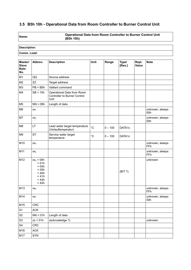# **3.5 B5h 10h - Operational Data from Room Controller to Burner Control Unit**

**Name: Operational Data from Room Controller to Burner Control Unit (B5h 10h)**

# **Description:**

| Master/<br><b>Slave</b><br>Byte-<br>No. | Abbrev.                                                                                   | <b>Description</b>                                                        | Unit              | Range     | Type/<br>[Res.] | Repl.<br>Value | <b>Note</b>            |
|-----------------------------------------|-------------------------------------------------------------------------------------------|---------------------------------------------------------------------------|-------------------|-----------|-----------------|----------------|------------------------|
| M1                                      | QQ                                                                                        | Source address                                                            |                   |           |                 |                |                        |
| M <sub>2</sub>                          | <b>ZZ</b>                                                                                 | Target address                                                            |                   |           |                 |                |                        |
| M3                                      | $PB = B5h$                                                                                | Vaillant command                                                          |                   |           |                 |                |                        |
| M4                                      | $SB = 10h$                                                                                | Operational Data from Room<br><b>Controller to Burner Control</b><br>Unit |                   |           |                 |                |                        |
| M <sub>5</sub>                          | $NN = 09h$                                                                                | Length of data                                                            |                   |           |                 |                |                        |
| M <sub>6</sub>                          | XX <sub>1</sub>                                                                           |                                                                           |                   |           |                 |                | unknown, always<br>00h |
| M7                                      | XX <sub>2</sub>                                                                           |                                                                           |                   |           |                 |                | unknown, always<br>00h |
| M <sub>8</sub>                          | LT                                                                                        | Lead water target temperature<br>(Vorlauftemperatur)                      | $^{\circ}C$       | $0 - 100$ | DATA1c          |                |                        |
| M <sub>9</sub>                          | <b>ST</b>                                                                                 | Service water target<br>temperature                                       | $^{\circ}{\rm C}$ | $0 - 100$ | DATA1c          |                |                        |
| M10                                     | XX <sub>3</sub>                                                                           |                                                                           |                   |           |                 |                | unknown, always<br>FFh |
| M11                                     | XX <sub>4</sub>                                                                           |                                                                           |                   |           |                 |                | unknown, always<br>FFh |
| M12                                     | $xx_5 = 00h$<br>$= 01h$<br>$= 04h$<br>$= 05h$<br>$= 40h$<br>$= 41h$<br>$= 44h$<br>$= 45h$ |                                                                           |                   |           | (BIT ?)         |                | unknown                |
| M13                                     | XX <sub>6</sub>                                                                           |                                                                           |                   |           |                 |                | unknown, always<br>FFh |
| M14                                     | XX <sub>7</sub>                                                                           |                                                                           |                   |           |                 |                | unknown, always<br>00h |
| M15                                     | <b>CRC</b>                                                                                |                                                                           |                   |           |                 |                |                        |
| S <sub>1</sub>                          | <b>ACK</b>                                                                                |                                                                           |                   |           |                 |                |                        |
| S <sub>2</sub>                          | $NN = 01h$                                                                                | Length of data                                                            |                   |           |                 |                |                        |
| S <sub>3</sub>                          | $zz = 01h$                                                                                | (acknowledge ?)                                                           |                   |           |                 |                | unknown                |
| S <sub>4</sub>                          | CRC                                                                                       |                                                                           |                   |           |                 |                |                        |
| M16                                     | <b>ACK</b>                                                                                |                                                                           |                   |           |                 |                |                        |
| M17                                     | SYN                                                                                       |                                                                           |                   |           |                 |                |                        |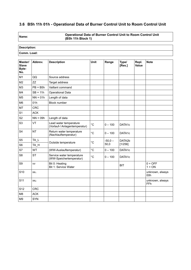# **3.6 B5h 11h 01h - Operational Data of Burner Control Unit to Room Control Unit**

**Name: Operational Data of Burner Control Unit to Room Control Unit (B5h 11h Block 1)**

# **Description:**

| Master/<br><b>Slave</b><br>Byte-<br>No. | Abbrev.         | <b>Description</b>                                      | Unit         | Range     | Type/<br>[Res.] | Repl.<br>Value | <b>Note</b>            |
|-----------------------------------------|-----------------|---------------------------------------------------------|--------------|-----------|-----------------|----------------|------------------------|
| M1                                      | QQ              | Source address                                          |              |           |                 |                |                        |
| M <sub>2</sub>                          | ZZ              | Target address                                          |              |           |                 |                |                        |
| M <sub>3</sub>                          | $PB = B5h$      | Vaillant command                                        |              |           |                 |                |                        |
| M4                                      | $SB = 11h$      | Operational Data                                        |              |           |                 |                |                        |
| M <sub>5</sub>                          | $NN = 01h$      | Length of data                                          |              |           |                 |                |                        |
| M <sub>6</sub>                          | 01h             | Block number                                            |              |           |                 |                |                        |
| M7                                      | <b>CRC</b>      |                                                         |              |           |                 |                |                        |
| S <sub>1</sub>                          | <b>ACK</b>      |                                                         |              |           |                 |                |                        |
| S <sub>2</sub>                          | $NN = 09h$      | Length of data                                          |              |           |                 |                |                        |
| S <sub>3</sub>                          | VT              | Lead water temperature<br>(Vorlauf-/ Anlagentemperatur) | $^{\circ}C$  | $0 - 100$ | DATA1c          |                |                        |
| S <sub>4</sub>                          | <b>NT</b>       | Return water temperature<br>(Nachlauftemperatur)        | $^{\circ}C$  | $0 - 100$ | DATA1c          |                |                        |
| S <sub>5</sub>                          | TA L            | Outside temperature                                     | $^{\circ}C$  | $-50,0 -$ | DATA2b          |                |                        |
| S <sub>6</sub>                          | TA_H            |                                                         |              | 50,0      | [1/256]         |                |                        |
| S7                                      | WT              | (WW-Auslauftemperatur)                                  | $^{\circ}$ C | $0 - 100$ | DATA1c          |                |                        |
| S <sub>8</sub>                          | <b>ST</b>       | Service water temperature<br>(WW-Speichertemperatur)    | $^{\circ}C$  | $0 - 100$ | DATA1c          |                |                        |
| S <sub>9</sub>                          | VV              | Bit 0: Heating<br>Bit 1: Service Water                  |              |           | <b>BIT</b>      |                | $0 = OFF$<br>$1 = ON$  |
| S <sub>10</sub>                         | XX <sub>1</sub> |                                                         |              |           |                 |                | unknown, always<br>00h |
| S <sub>11</sub>                         | XX <sub>2</sub> |                                                         |              |           |                 |                | unknown, always<br>FFh |
| S <sub>12</sub>                         | <b>CRC</b>      |                                                         |              |           |                 |                |                        |
| M <sub>8</sub>                          | <b>ACK</b>      |                                                         |              |           |                 |                |                        |
| M <sub>9</sub>                          | <b>SYN</b>      |                                                         |              |           |                 |                |                        |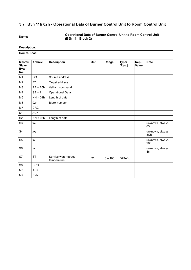# **3.7 B5h 11h 02h - Operational Data of Burner Control Unit to Room Control Unit**

**Name: Operational Data of Burner Control Unit to Room Control Unit (B5h 11h Block 2)**

| Master/<br><b>Slave</b><br>Byte-<br>No. | Abbrev.         | <b>Description</b>                  | <b>Unit</b> | Range     | Type/<br>[Res.] | Repl.<br><b>Value</b> | <b>Note</b>            |
|-----------------------------------------|-----------------|-------------------------------------|-------------|-----------|-----------------|-----------------------|------------------------|
| M1                                      | QQ              | Source address                      |             |           |                 |                       |                        |
| M <sub>2</sub>                          | ZZ              | Target address                      |             |           |                 |                       |                        |
| M <sub>3</sub>                          | $PB = B5h$      | Vaillant command                    |             |           |                 |                       |                        |
| M4                                      | $SB = 11h$      | <b>Operational Data</b>             |             |           |                 |                       |                        |
| M <sub>5</sub>                          | $NN = 01h$      | Length of data                      |             |           |                 |                       |                        |
| M <sub>6</sub>                          | 02h             | <b>Block number</b>                 |             |           |                 |                       |                        |
| M7                                      | <b>CRC</b>      |                                     |             |           |                 |                       |                        |
| S <sub>1</sub>                          | <b>ACK</b>      |                                     |             |           |                 |                       |                        |
| S <sub>2</sub>                          | $NN = 05h$      | Length of data                      |             |           |                 |                       |                        |
| S <sub>3</sub>                          | XX <sub>1</sub> |                                     |             |           |                 |                       | unknown, always<br>03h |
| S <sub>4</sub>                          | XX <sub>2</sub> |                                     |             |           |                 |                       | unknown, always<br>3Ch |
| S <sub>5</sub>                          | XX <sub>3</sub> |                                     |             |           |                 |                       | unknown, always<br>96h |
| S <sub>6</sub>                          | XX <sub>4</sub> |                                     |             |           |                 |                       | unknown, always<br>46h |
| S7                                      | <b>ST</b>       | Service water target<br>temperature | $^{\circ}C$ | $0 - 100$ | DATA1c          |                       |                        |
| S <sub>8</sub>                          | <b>CRC</b>      |                                     |             |           |                 |                       |                        |
| M <sub>8</sub>                          | <b>ACK</b>      |                                     |             |           |                 |                       |                        |
| M <sub>9</sub>                          | <b>SYN</b>      |                                     |             |           |                 |                       |                        |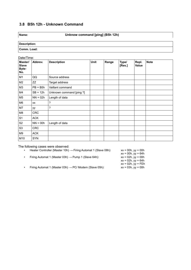# **3.8 B5h 12h - Unknown Command**

#### **Name: Unknow command [ping] (B5h 12h)**

**Description: Comm. Load:**

|                                         | Date/Time: |                          |             |       |                 |                       |             |  |  |
|-----------------------------------------|------------|--------------------------|-------------|-------|-----------------|-----------------------|-------------|--|--|
| Master/<br><b>Slave</b><br>Byte-<br>No. | Abbrev.    | <b>Description</b>       | <b>Unit</b> | Range | Type/<br>[Res.] | Repl.<br><b>Value</b> | <b>Note</b> |  |  |
| M <sub>1</sub>                          | QQ         | Source address           |             |       |                 |                       |             |  |  |
| M2                                      | ZZ         | Target address           |             |       |                 |                       |             |  |  |
| M3                                      | $PB = B5h$ | Vaillant command         |             |       |                 |                       |             |  |  |
| M4                                      | $SB = 12h$ | Unknown command [ping ?] |             |       |                 |                       |             |  |  |
| M <sub>5</sub>                          | $NN = 02h$ | Length of data           |             |       |                 |                       |             |  |  |
| M <sub>6</sub>                          | XX         | ?                        |             |       |                 |                       |             |  |  |
| M7                                      | уу         | ?                        |             |       |                 |                       |             |  |  |
| M8                                      | <b>CRC</b> |                          |             |       |                 |                       |             |  |  |
| S <sub>1</sub>                          | <b>ACK</b> |                          |             |       |                 |                       |             |  |  |
| S <sub>2</sub>                          | $NN = 00h$ | Length of data           |             |       |                 |                       |             |  |  |
| S <sub>3</sub>                          | <b>CRC</b> |                          |             |       |                 |                       |             |  |  |
| M <sub>9</sub>                          | <b>ACK</b> |                          |             |       |                 |                       |             |  |  |
| M10                                     | <b>SYN</b> |                          |             |       |                 |                       |             |  |  |

The following cases were observed:

- Heater Controller (Master 10h)  $\rightarrow$  Firing Automat 1 (Slave 08h):
- Firing Automat 1 (Master 03h)  $\rightarrow$  Pump 1 (Slave 64h):

 $xx = 00h$ ,  $yy = 00h$ <br> $xx = 00h$ ,  $yy = 64h$ xx = 02h, yy = 64h xx = 02h, yy = FEh

• Firing Automat 1 (Master 03h)  $\rightarrow$  PC/ Modem (Slave 05h):  $xx = 03h$ ,  $yy = 00h$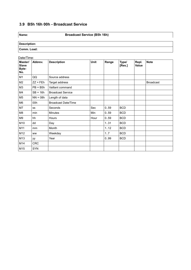# **3.9 B5h 16h 00h - Broadcast Service**

**Name: Broadcast Service (B5h 16h)**

| Date/Time:                              |            |                            |             |       |                 |                |                  |
|-----------------------------------------|------------|----------------------------|-------------|-------|-----------------|----------------|------------------|
| Master/<br><b>Slave</b><br>Byte-<br>No. | Abbrev.    | <b>Description</b>         | <b>Unit</b> | Range | Type/<br>[Res.] | Repl.<br>Value | <b>Note</b>      |
| M <sub>1</sub>                          | QQ         | Source address             |             |       |                 |                |                  |
| M <sub>2</sub>                          | $ZZ = FEh$ | Target address             |             |       |                 |                | <b>Broadcast</b> |
| M <sub>3</sub>                          | $PB = B5h$ | Vaillant command           |             |       |                 |                |                  |
| M4                                      | $SB = 16h$ | <b>Broadcast Service</b>   |             |       |                 |                |                  |
| M <sub>5</sub>                          | $NN = 08h$ | Length of data             |             |       |                 |                |                  |
| M <sub>6</sub>                          | 00h        | <b>Broadcast Date/Time</b> |             |       |                 |                |                  |
| M7                                      | SS         | Seconds                    | Sec         | 0.59  | <b>BCD</b>      |                |                  |
| M8                                      | min        | Minutes                    | Min         | 0.59  | <b>BCD</b>      |                |                  |
| M9                                      | hh         | Hours                      | Hour        | 0.59  | <b>BCD</b>      |                |                  |
| M10                                     | dd         | Day                        |             | 131   | <b>BCD</b>      |                |                  |
| M11                                     | mm         | Month                      |             | 1.12  | <b>BCD</b>      |                |                  |
| M12                                     | <b>ww</b>  | Weekday                    |             | 17    | <b>BCD</b>      |                |                  |
| M13                                     | уу         | Year                       |             | 0.99  | <b>BCD</b>      |                |                  |
| M14                                     | <b>CRC</b> |                            |             |       |                 |                |                  |
| M15                                     | SYN        |                            |             |       |                 |                |                  |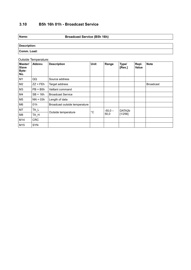# **3.10 B5h 16h 01h - Broadcast Service**

#### **Name: Broadcast Service (B5h 16h)**

| Description: |  |
|--------------|--|
| ⊺Comm. Load: |  |

#### Outside Temperature:

| Master/<br><b>Slave</b><br>Byte-<br>No. | Abbrev.    | <b>Description</b>            | Unit         | Range             | Type/<br>[Res.]   | Repl.<br>Value | <b>Note</b>      |
|-----------------------------------------|------------|-------------------------------|--------------|-------------------|-------------------|----------------|------------------|
| M <sub>1</sub>                          | QQ         | Source address                |              |                   |                   |                |                  |
| M2                                      | $ZZ = FEh$ | Target address                |              |                   |                   |                | <b>Broadcast</b> |
| M3                                      | $PB = B5h$ | Vaillant command              |              |                   |                   |                |                  |
| M4                                      | $SB = 16h$ | <b>Broadcast Service</b>      |              |                   |                   |                |                  |
| M5                                      | $NN = 03h$ | Length of data                |              |                   |                   |                |                  |
| M6                                      | 01h        | Broadcast outside temperature |              |                   |                   |                |                  |
| M7                                      | TA_L       |                               | $^{\circ}$ C | $-50,0 -$<br>50,0 | DATA2b<br>[1/256] |                |                  |
| M8                                      | TA_H       | Outside temperature           |              |                   |                   |                |                  |
| M14                                     | <b>CRC</b> |                               |              |                   |                   |                |                  |
| M15                                     | <b>SYN</b> |                               |              |                   |                   |                |                  |